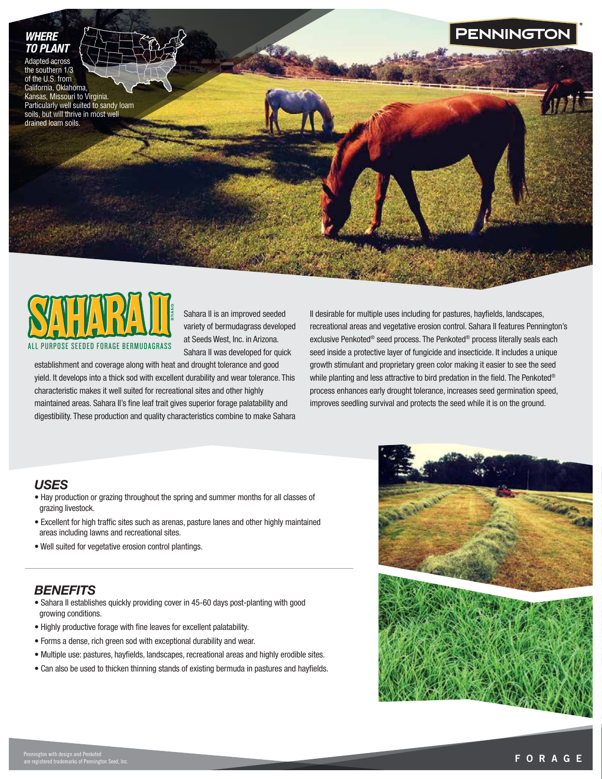## *WHERE TO PLANT*

Adapted across the southern 1/3 of the U.S. from California, Oklahoma, Kansas, Missouri to Virginia. Particularly well suited to sandy loam soils, but will thrive in most well drained loam soils.



Sahara II is an improved seeded variety of bermudagrass developed at Seeds West, Inc. in Arizona. Sahara II was developed for quick

establishment and coverage along with heat and drought tolerance and good yield. It develops into a thick sod with excellent durability and wear tolerance. This characteristic makes it well suited for recreational sites and other highly maintained areas. Sahara II's fine leaf trait gives superior forage palatability and digestibility. These production and quality characteristics combine to make Sahara II desirable for multiple uses including for pastures, hayfields, landscapes, recreational areas and vegetative erosion control. Sahara II features Pennington's exclusive Penkoted® seed process. The Penkoted® process literally seals each seed inside a protective layer of fungicide and insecticide. It includes a unique growth stimulant and proprietary green color making it easier to see the seed while planting and less attractive to bird predation in the field. The Penkoted® process enhances early drought tolerance, increases seed germination speed, improves seedling survival and protects the seed while it is on the ground.

## *USES*

- Hay production or grazing throughout the spring and summer months for all classes of grazing livestock.
- Excellent for high traffic sites such as arenas, pasture lanes and other highly maintained areas including lawns and recreational sites.
- Well suited for vegetative erosion control plantings.

# *BENEFITS*

- Sahara II establishes quickly providing cover in 45-60 days post-planting with good growing conditions.
- Highly productive forage with fine leaves for excellent palatability.
- Forms a dense, rich green sod with exceptional durability and wear.
- Multiple use: pastures, hayfields, landscapes, recreational areas and highly erodible sites.
- Can also be used to thicken thinning stands of existing bermuda in pastures and hayfields.



**PENNINGTO**